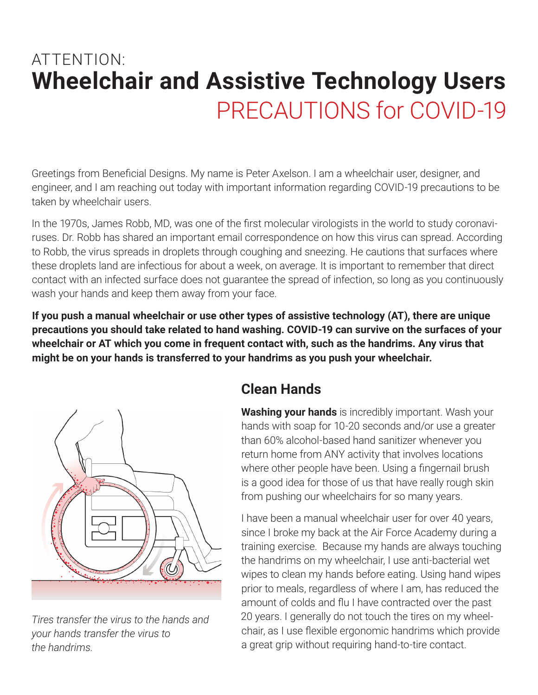# **Wheelchair and Assistive Technology Users** ATTENTION: PRECAUTIONS for COVID-19

Greetings from Beneficial Designs. My name is Peter Axelson. I am a wheelchair user, designer, and engineer, and I am reaching out today with important information regarding COVID-19 precautions to be taken by wheelchair users.

In the 1970s, James Robb, MD, was one of the first molecular virologists in the world to study coronaviruses. Dr. Robb has shared an important email correspondence on how this virus can spread. According to Robb, the virus spreads in droplets through coughing and sneezing. He cautions that surfaces where these droplets land are infectious for about a week, on average. It is important to remember that direct contact with an infected surface does not guarantee the spread of infection, so long as you continuously wash your hands and keep them away from your face.

**If you push a manual wheelchair or use other types of assistive technology (AT), there are unique precautions you should take related to hand washing. COVID-19 can survive on the surfaces of your wheelchair or AT which you come in frequent contact with, such as the handrims. Any virus that might be on your hands is transferred to your handrims as you push your wheelchair.**



*Tires transfer the virus to the hands and your hands transfer the virus to the handrims.*

#### **Clean Hands**

**Washing your hands** is incredibly important. Wash your hands with soap for 10-20 seconds and/or use a greater than 60% alcohol-based hand sanitizer whenever you return home from ANY activity that involves locations where other people have been. Using a fingernail brush is a good idea for those of us that have really rough skin from pushing our wheelchairs for so many years.

I have been a manual wheelchair user for over 40 years, since I broke my back at the Air Force Academy during a training exercise. Because my hands are always touching the handrims on my wheelchair, I use anti-bacterial wet wipes to clean my hands before eating. Using hand wipes prior to meals, regardless of where I am, has reduced the amount of colds and flu I have contracted over the past 20 years. I generally do not touch the tires on my wheelchair, as I use flexible ergonomic handrims which provide a great grip without requiring hand-to-tire contact.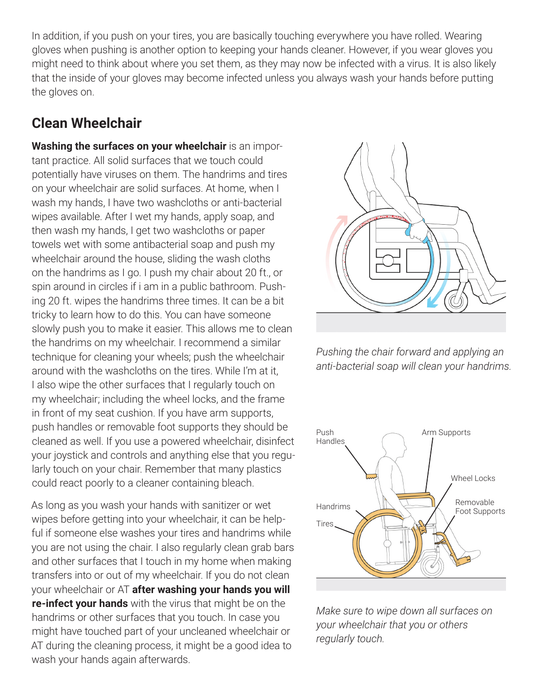In addition, if you push on your tires, you are basically touching everywhere you have rolled. Wearing gloves when pushing is another option to keeping your hands cleaner. However, if you wear gloves you might need to think about where you set them, as they may now be infected with a virus. It is also likely that the inside of your gloves may become infected unless you always wash your hands before putting the gloves on.

### **Clean Wheelchair**

**Washing the surfaces on your wheelchair** is an important practice. All solid surfaces that we touch could potentially have viruses on them. The handrims and tires on your wheelchair are solid surfaces. At home, when I wash my hands, I have two washcloths or anti-bacterial wipes available. After I wet my hands, apply soap, and then wash my hands, I get two washcloths or paper towels wet with some antibacterial soap and push my wheelchair around the house, sliding the wash cloths on the handrims as I go. I push my chair about 20 ft., or spin around in circles if i am in a public bathroom. Pushing 20 ft. wipes the handrims three times. It can be a bit tricky to learn how to do this. You can have someone slowly push you to make it easier. This allows me to clean the handrims on my wheelchair. I recommend a similar technique for cleaning your wheels; push the wheelchair around with the washcloths on the tires. While I'm at it, I also wipe the other surfaces that I regularly touch on my wheelchair; including the wheel locks, and the frame in front of my seat cushion. If you have arm supports, push handles or removable foot supports they should be cleaned as well. If you use a powered wheelchair, disinfect your joystick and controls and anything else that you regularly touch on your chair. Remember that many plastics could react poorly to a cleaner containing bleach.

As long as you wash your hands with sanitizer or wet wipes before getting into your wheelchair, it can be helpful if someone else washes your tires and handrims while you are not using the chair. I also regularly clean grab bars and other surfaces that I touch in my home when making transfers into or out of my wheelchair. If you do not clean your wheelchair or AT **after washing your hands you will re-infect your hands** with the virus that might be on the handrims or other surfaces that you touch. In case you might have touched part of your uncleaned wheelchair or AT during the cleaning process, it might be a good idea to wash your hands again afterwards.



*Pushing the chair forward and applying an anti-bacterial soap will clean your handrims.*



*Make sure to wipe down all surfaces on your wheelchair that you or others regularly touch.*